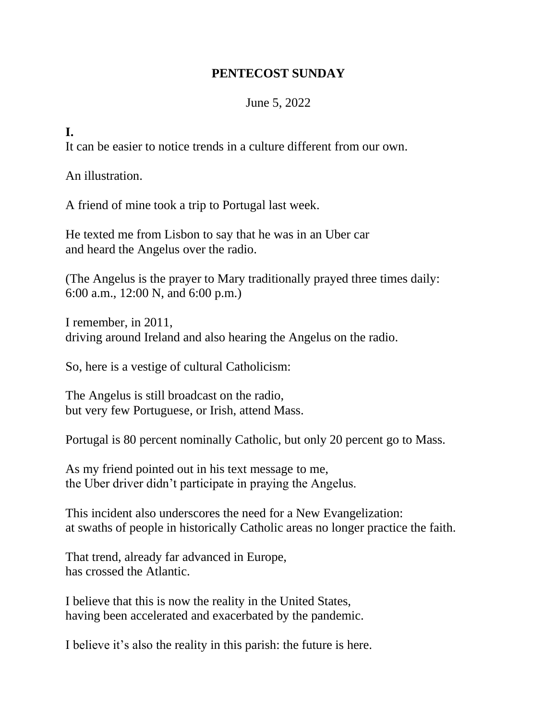## **PENTECOST SUNDAY**

## June 5, 2022

**I.**

It can be easier to notice trends in a culture different from our own.

An illustration.

A friend of mine took a trip to Portugal last week.

He texted me from Lisbon to say that he was in an Uber car and heard the Angelus over the radio.

(The Angelus is the prayer to Mary traditionally prayed three times daily: 6:00 a.m., 12:00 N, and 6:00 p.m.)

I remember, in 2011, driving around Ireland and also hearing the Angelus on the radio.

So, here is a vestige of cultural Catholicism:

The Angelus is still broadcast on the radio, but very few Portuguese, or Irish, attend Mass.

Portugal is 80 percent nominally Catholic, but only 20 percent go to Mass.

As my friend pointed out in his text message to me, the Uber driver didn't participate in praying the Angelus.

This incident also underscores the need for a New Evangelization: at swaths of people in historically Catholic areas no longer practice the faith.

That trend, already far advanced in Europe, has crossed the Atlantic.

I believe that this is now the reality in the United States, having been accelerated and exacerbated by the pandemic.

I believe it's also the reality in this parish: the future is here.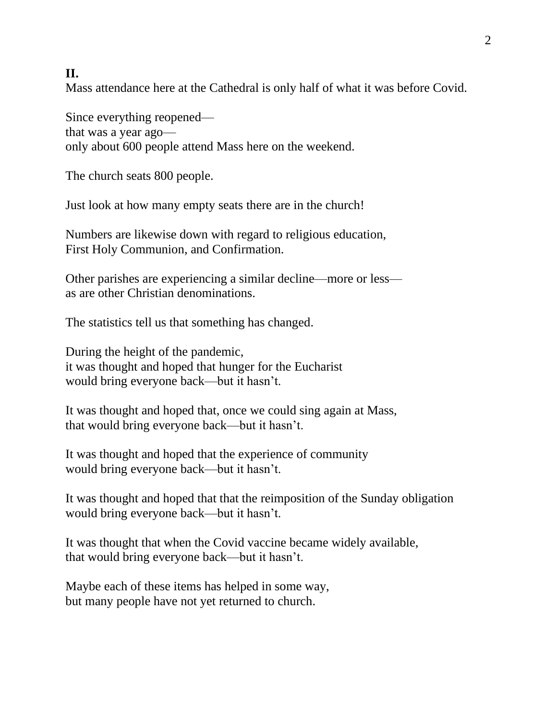## **II.**

Mass attendance here at the Cathedral is only half of what it was before Covid.

Since everything reopened that was a year ago only about 600 people attend Mass here on the weekend.

The church seats 800 people.

Just look at how many empty seats there are in the church!

Numbers are likewise down with regard to religious education, First Holy Communion, and Confirmation.

Other parishes are experiencing a similar decline—more or less as are other Christian denominations.

The statistics tell us that something has changed.

During the height of the pandemic, it was thought and hoped that hunger for the Eucharist would bring everyone back—but it hasn't.

It was thought and hoped that, once we could sing again at Mass, that would bring everyone back—but it hasn't.

It was thought and hoped that the experience of community would bring everyone back—but it hasn't.

It was thought and hoped that that the reimposition of the Sunday obligation would bring everyone back—but it hasn't.

It was thought that when the Covid vaccine became widely available, that would bring everyone back—but it hasn't.

Maybe each of these items has helped in some way, but many people have not yet returned to church.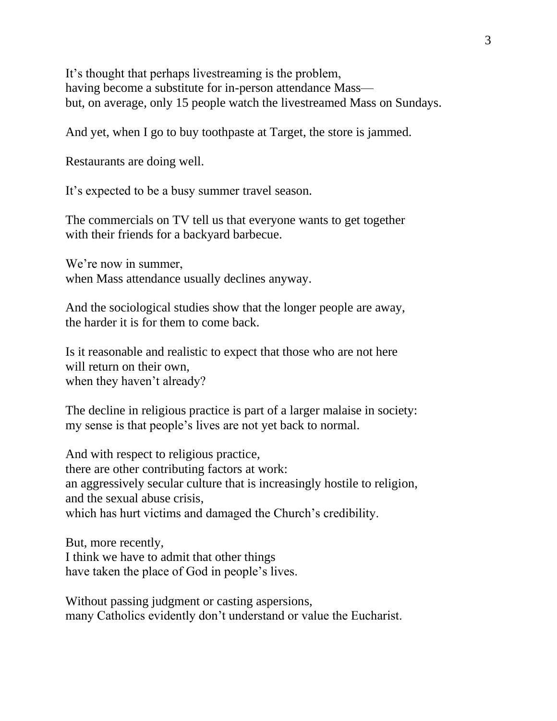It's thought that perhaps livestreaming is the problem, having become a substitute for in-person attendance Mass but, on average, only 15 people watch the livestreamed Mass on Sundays.

And yet, when I go to buy toothpaste at Target, the store is jammed.

Restaurants are doing well.

It's expected to be a busy summer travel season.

The commercials on TV tell us that everyone wants to get together with their friends for a backyard barbecue.

We're now in summer, when Mass attendance usually declines anyway.

And the sociological studies show that the longer people are away, the harder it is for them to come back.

Is it reasonable and realistic to expect that those who are not here will return on their own. when they haven't already?

The decline in religious practice is part of a larger malaise in society: my sense is that people's lives are not yet back to normal.

And with respect to religious practice, there are other contributing factors at work: an aggressively secular culture that is increasingly hostile to religion, and the sexual abuse crisis, which has hurt victims and damaged the Church's credibility.

But, more recently, I think we have to admit that other things have taken the place of God in people's lives.

Without passing judgment or casting aspersions, many Catholics evidently don't understand or value the Eucharist.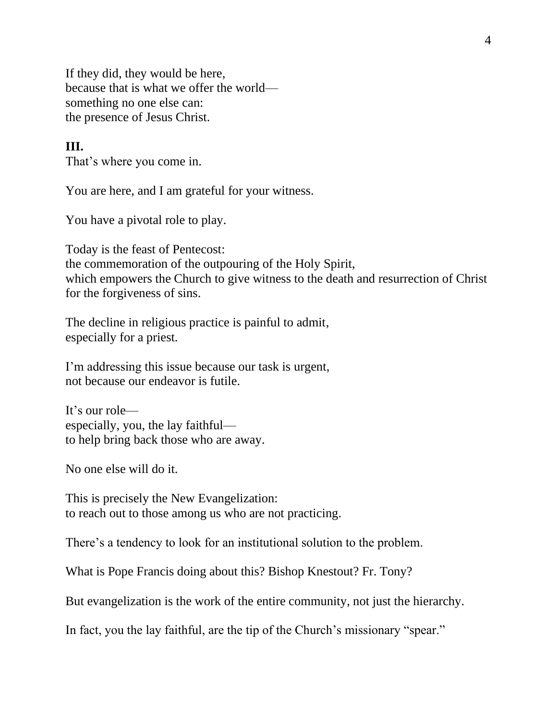If they did, they would be here, because that is what we offer the world something no one else can: the presence of Jesus Christ.

## **III.**

That's where you come in.

You are here, and I am grateful for your witness.

You have a pivotal role to play.

Today is the feast of Pentecost: the commemoration of the outpouring of the Holy Spirit, which empowers the Church to give witness to the death and resurrection of Christ for the forgiveness of sins.

The decline in religious practice is painful to admit, especially for a priest.

I'm addressing this issue because our task is urgent, not because our endeavor is futile.

It's our role especially, you, the lay faithful to help bring back those who are away.

No one else will do it.

This is precisely the New Evangelization: to reach out to those among us who are not practicing.

There's a tendency to look for an institutional solution to the problem.

What is Pope Francis doing about this? Bishop Knestout? Fr. Tony?

But evangelization is the work of the entire community, not just the hierarchy.

In fact, you the lay faithful, are the tip of the Church's missionary "spear."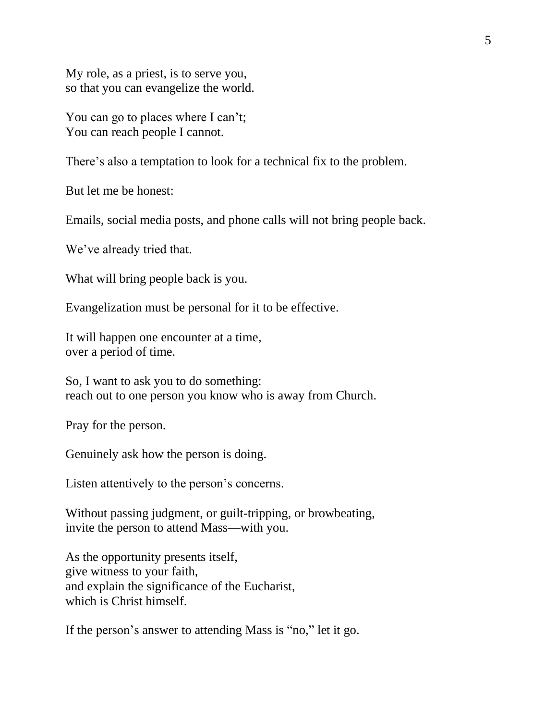My role, as a priest, is to serve you, so that you can evangelize the world.

You can go to places where I can't; You can reach people I cannot.

There's also a temptation to look for a technical fix to the problem.

But let me be honest:

Emails, social media posts, and phone calls will not bring people back.

We've already tried that.

What will bring people back is you.

Evangelization must be personal for it to be effective.

It will happen one encounter at a time, over a period of time.

So, I want to ask you to do something: reach out to one person you know who is away from Church.

Pray for the person.

Genuinely ask how the person is doing.

Listen attentively to the person's concerns.

Without passing judgment, or guilt-tripping, or browbeating, invite the person to attend Mass—with you.

As the opportunity presents itself, give witness to your faith, and explain the significance of the Eucharist, which is Christ himself.

If the person's answer to attending Mass is "no," let it go.